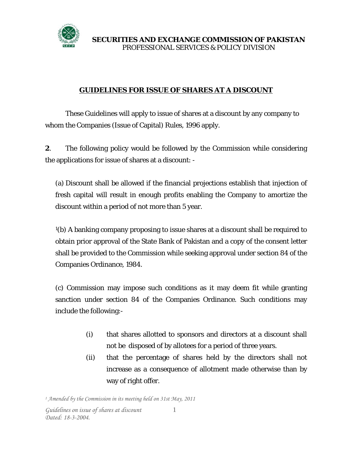

## **GUIDELINES FOR ISSUE OF SHARES AT A DISCOUNT**

 These Guidelines will apply to issue of shares at a discount by any company to whom the Companies (Issue of Capital) Rules, 1996 apply.

**2**. The following policy would be followed by the Commission while considering the applications for issue of shares at a discount: -

(a) Discount shall be allowed if the financial projections establish that injection of fresh capital will result in enough profits enabling the Company to amortize the discount within a period of not more than 5 year.

1(b) A banking company proposing to issue shares at a discount shall be required to obtain prior approval of the State Bank of Pakistan and a copy of the consent letter shall be provided to the Commission while seeking approval under section 84 of the Companies Ordinance, 1984.

(c) Commission may impose such conditions as it may deem fit while granting sanction under section 84 of the Companies Ordinance. Such conditions may include the following:-

- (i) that shares allotted to sponsors and directors at a discount shall not be disposed of by allotees for a period of three years.
- (ii) that the percentage of shares held by the directors shall not increase as a consequence of allotment made otherwise than by way of right offer.

*1 Amended by the Commission in its meeting held on 31st May, 2011*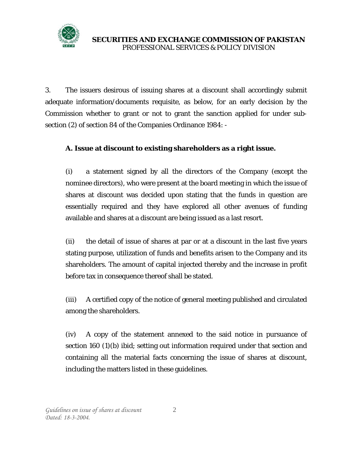

3. The issuers desirous of issuing shares at a discount shall accordingly submit adequate information/documents requisite, as below, for an early decision by the Commission whether to grant or not to grant the sanction applied for under subsection (2) of section 84 of the Companies Ordinance 1984: -

## **A. Issue at discount to existing shareholders as a right issue.**

(i) a statement signed by all the directors of the Company (except the nominee directors), who were present at the board meeting in which the issue of shares at discount was decided upon stating that the funds in question are essentially required and they have explored all other avenues of funding available and shares at a discount are being issued as a last resort.

(ii) the detail of issue of shares at par or at a discount in the last five years stating purpose, utilization of funds and benefits arisen to the Company and its shareholders. The amount of capital injected thereby and the increase in profit before tax in consequence thereof shall be stated.

(iii) A certified copy of the notice of general meeting published and circulated among the shareholders.

(iv) A copy of the statement annexed to the said notice in pursuance of section 160 (1)(b) ibid; setting out information required under that section and containing all the material facts concerning the issue of shares at discount, including the matters listed in these guidelines.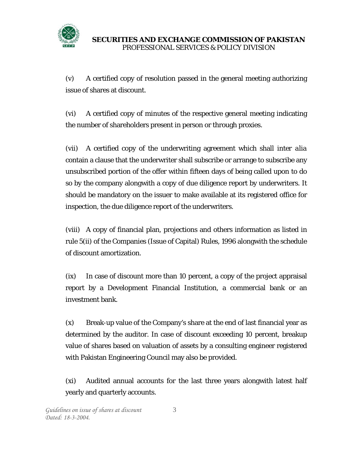

(v) A certified copy of resolution passed in the general meeting authorizing issue of shares at discount.

(vi) A certified copy of minutes of the respective general meeting indicating the number of shareholders present in person or through proxies.

(vii) A certified copy of the underwriting agreement which shall *inter alia* contain a clause that the underwriter shall subscribe or arrange to subscribe any unsubscribed portion of the offer within fifteen days of being called upon to do so by the company alongwith a copy of due diligence report by underwriters. It should be mandatory on the issuer to make available at its registered office for inspection, the due diligence report of the underwriters.

(viii) A copy of financial plan, projections and others information as listed in rule 5(ii) of the Companies (Issue of Capital) Rules, 1996 alongwith the schedule of discount amortization.

(ix) In case of discount more than 10 percent, a copy of the project appraisal report by a Development Financial Institution, a commercial bank or an investment bank.

(x) Break-up value of the Company's share at the end of last financial year as determined by the auditor. In case of discount exceeding 10 percent, breakup value of shares based on valuation of assets by a consulting engineer registered with Pakistan Engineering Council may also be provided.

(xi) Audited annual accounts for the last three years alongwith latest half yearly and quarterly accounts.